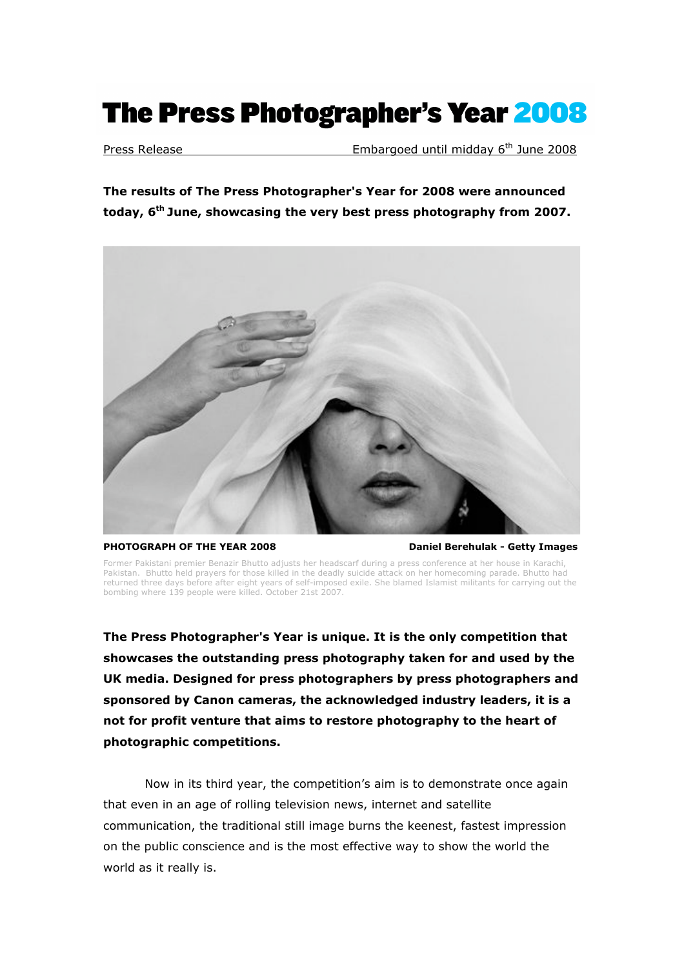# The Press Photographer's Year 2008

Press Release **Embargoed until midday 6<sup>th</sup> June 2008** 

**The results of The Press Photographer's Year for 2008 were announced today, 6th June, showcasing the very best press photography from 2007.**



**PHOTOGRAPH OF THE YEAR 2008 Daniel Berehulak - Getty Images**

Former Pakistani premier Benazir Bhutto adjusts her headscarf during a press conference at her house in Karachi, Pakistan. Bhutto held prayers for those killed in the deadly suicide attack on her homecoming parade. Bhutto had returned three days before after eight years of self-imposed exile. She blamed Islamist militants for carrying out the bombing where 139 people were killed. October 21st 2007.

**The Press Photographer's Year is unique. It is the only competition that showcases the outstanding press photography taken for and used by the UK media. Designed for press photographers by press photographers and sponsored by Canon cameras, the acknowledged industry leaders, it is a not for profit venture that aims to restore photography to the heart of photographic competitions.** 

Now in its third year, the competition's aim is to demonstrate once again that even in an age of rolling television news, internet and satellite communication, the traditional still image burns the keenest, fastest impression on the public conscience and is the most effective way to show the world the world as it really is.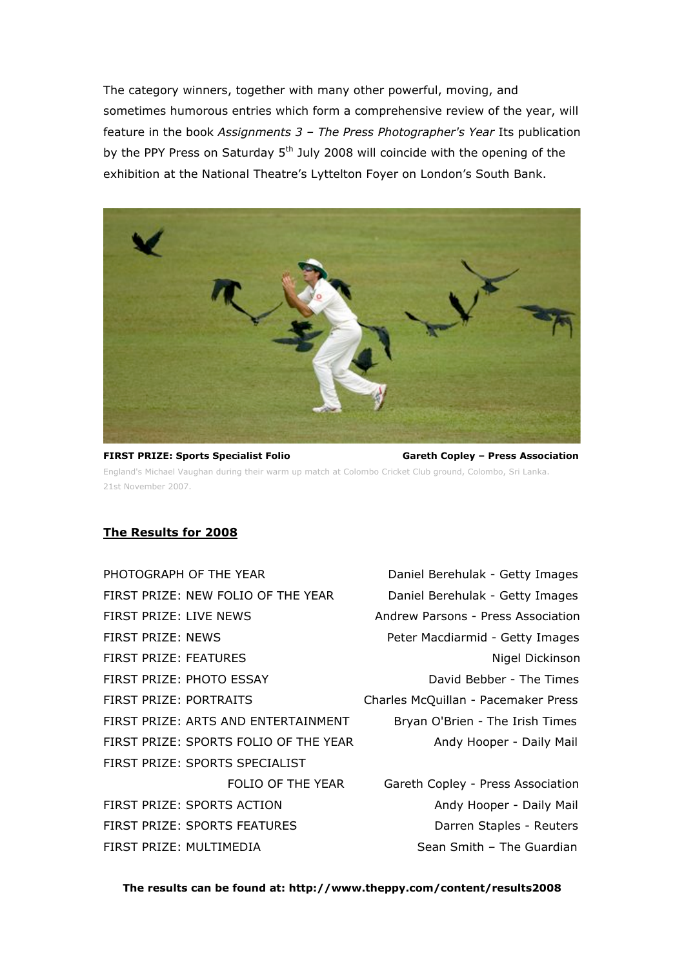The category winners, together with many other powerful, moving, and sometimes humorous entries which form a comprehensive review of the year, will feature in the book *Assignments 3 – The Press Photographer's Year* Its publication by the PPY Press on Saturday  $5<sup>th</sup>$  July 2008 will coincide with the opening of the exhibition at the National Theatre's Lyttelton Foyer on London's South Bank.



**FIRST PRIZE: Sports Specialist Folio Gareth Copley – Press Association** England's Michael Vaughan during their warm up match at Colombo Cricket Club ground, Colombo, Sri Lanka. 21st November 2007.

### **The Results for 2008**

- PHOTOGRAPH OF THE YEAR Daniel Berehulak Getty Images FIRST PRIZE: NEW FOLIO OF THE YEAR Daniel Berehulak - Getty Images FIRST PRIZE: LIVE NEWS Andrew Parsons - Press Association FIRST PRIZE: NEWS **Peter Macdiarmid - Getty Images** FIRST PRIZE: FEATURES Nigel Dickinson FIRST PRIZE: PHOTO ESSAY DAVID BEDAVID BAVID BEDAVID PRIZE: PHOTO ESSAY FIRST PRIZE: PORTRAITS Charles McQuillan - Pacemaker Press FIRST PRIZE: ARTS AND ENTERTAINMENT Bryan O'Brien - The Irish Times FIRST PRIZE: SPORTS FOLIO OF THE YEAR Andy Hooper - Daily Mail FIRST PRIZE: SPORTS SPECIALIST FIRST PRIZE: SPORTS ACTION Andy Hooper - Daily Mail FIRST PRIZE: SPORTS FEATURES DATE: Darren Staples - Reuters FIRST PRIZE: MULTIMEDIA Sean Smith – The Guardian
- 

FOLIO OF THE YEAR Gareth Copley - Press Association

**The results can be found at: http://www.theppy.com/content/results2008**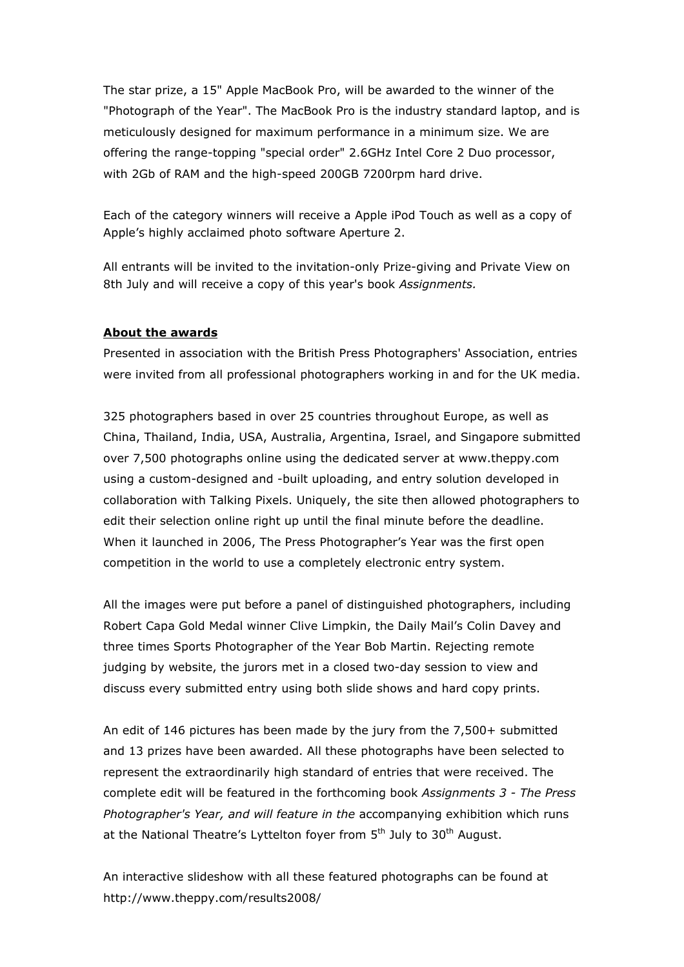The star prize, a 15" Apple MacBook Pro, will be awarded to the winner of the "Photograph of the Year". The MacBook Pro is the industry standard laptop, and is meticulously designed for maximum performance in a minimum size. We are offering the range-topping "special order" 2.6GHz Intel Core 2 Duo processor, with 2Gb of RAM and the high-speed 200GB 7200rpm hard drive.

Each of the category winners will receive a Apple iPod Touch as well as a copy of Apple's highly acclaimed photo software Aperture 2.

All entrants will be invited to the invitation-only Prize-giving and Private View on 8th July and will receive a copy of this year's book *Assignments.*

### **About the awards**

Presented in association with the British Press Photographers' Association, entries were invited from all professional photographers working in and for the UK media.

325 photographers based in over 25 countries throughout Europe, as well as China, Thailand, India, USA, Australia, Argentina, Israel, and Singapore submitted over 7,500 photographs online using the dedicated server at www.theppy.com using a custom-designed and -built uploading, and entry solution developed in collaboration with Talking Pixels. Uniquely, the site then allowed photographers to edit their selection online right up until the final minute before the deadline. When it launched in 2006, The Press Photographer's Year was the first open competition in the world to use a completely electronic entry system.

All the images were put before a panel of distinguished photographers, including Robert Capa Gold Medal winner Clive Limpkin, the Daily Mail's Colin Davey and three times Sports Photographer of the Year Bob Martin. Rejecting remote judging by website, the jurors met in a closed two-day session to view and discuss every submitted entry using both slide shows and hard copy prints.

An edit of 146 pictures has been made by the jury from the 7,500+ submitted and 13 prizes have been awarded. All these photographs have been selected to represent the extraordinarily high standard of entries that were received. The complete edit will be featured in the forthcoming book *Assignments 3 - The Press Photographer's Year, and will feature in the* accompanying exhibition which runs at the National Theatre's Lyttelton foyer from  $5<sup>th</sup>$  July to  $30<sup>th</sup>$  August.

An interactive slideshow with all these featured photographs can be found at http://www.theppy.com/results2008/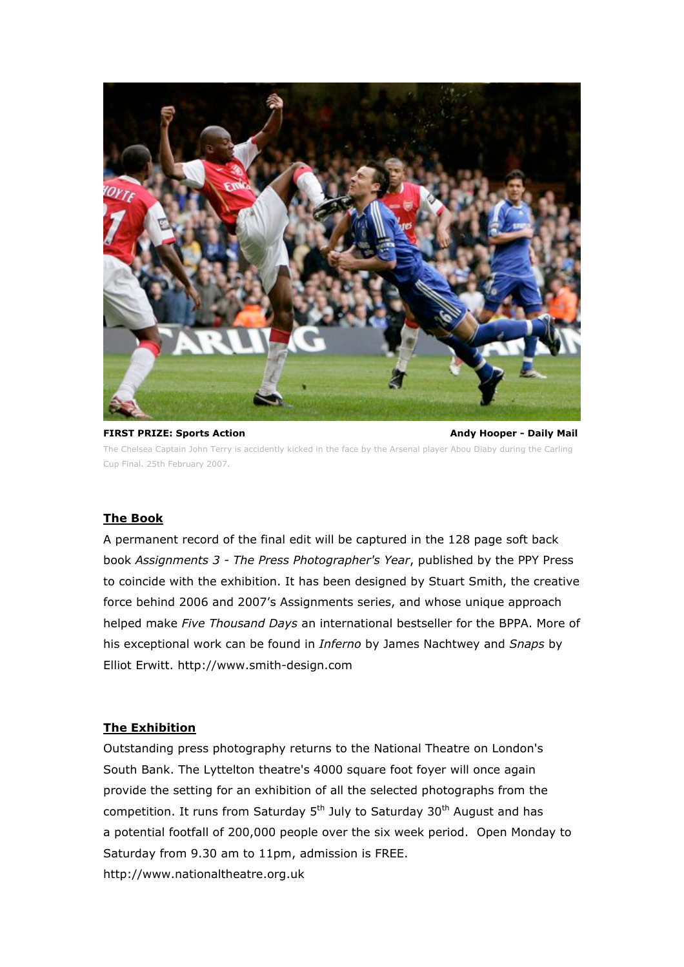

**FIRST PRIZE: Sports Action Andy Hooper - Daily Mail** The Chelsea Captain John Terry is accidently kicked in the face by the Arsenal player Abou Diaby during the Carling Cup Final. 25th February 2007.

### **The Book**

A permanent record of the final edit will be captured in the 128 page soft back book *Assignments 3 - The Press Photographer's Year*, published by the PPY Press to coincide with the exhibition. It has been designed by Stuart Smith, the creative force behind 2006 and 2007's Assignments series, and whose unique approach helped make *Five Thousand Days* an international bestseller for the BPPA. More of his exceptional work can be found in *Inferno* by James Nachtwey and *Snaps* by Elliot Erwitt. http://www.smith-design.com

### **The Exhibition**

Outstanding press photography returns to the National Theatre on London's South Bank. The Lyttelton theatre's 4000 square foot foyer will once again provide the setting for an exhibition of all the selected photographs from the competition. It runs from Saturday  $5<sup>th</sup>$  July to Saturday 30<sup>th</sup> August and has a potential footfall of 200,000 people over the six week period. Open Monday to Saturday from 9.30 am to 11pm, admission is FREE. http://www.nationaltheatre.org.uk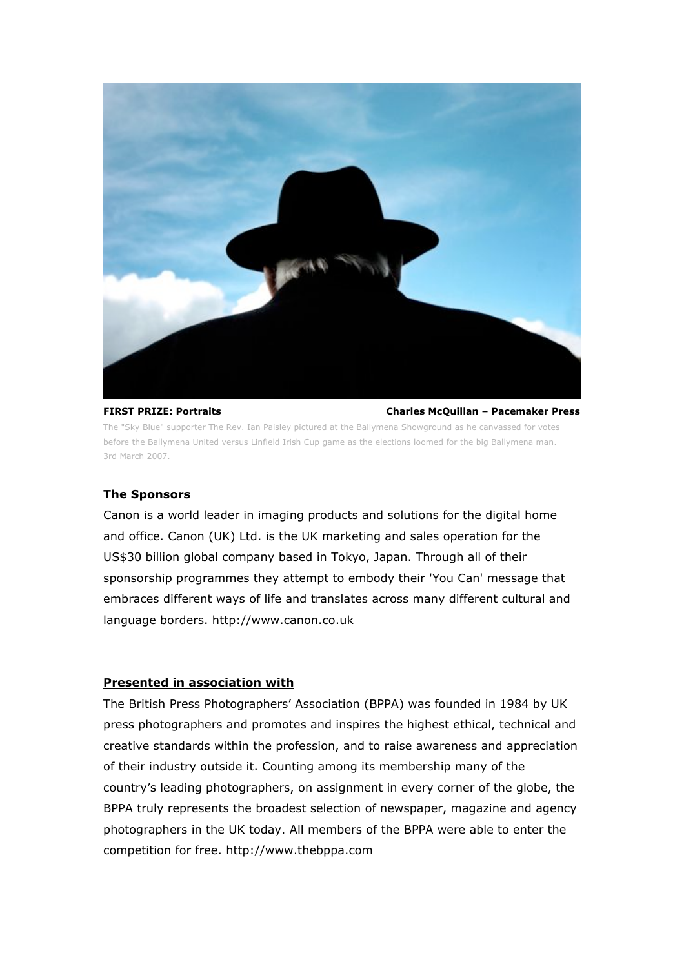

**FIRST PRIZE: Portraits Charles McQuillan – Pacemaker Press**

The "Sky Blue" supporter The Rev. Ian Paisley pictured at the Ballymena Showground as he canvassed for votes before the Ballymena United versus Linfield Irish Cup game as the elections loomed for the big Ballymena man. 3rd March 2007.

### **The Sponsors**

Canon is a world leader in imaging products and solutions for the digital home and office. Canon (UK) Ltd. is the UK marketing and sales operation for the US\$30 billion global company based in Tokyo, Japan. Through all of their sponsorship programmes they attempt to embody their 'You Can' message that embraces different ways of life and translates across many different cultural and language borders. http://www.canon.co.uk

### **Presented in association with**

The British Press Photographers' Association (BPPA) was founded in 1984 by UK press photographers and promotes and inspires the highest ethical, technical and creative standards within the profession, and to raise awareness and appreciation of their industry outside it. Counting among its membership many of the country's leading photographers, on assignment in every corner of the globe, the BPPA truly represents the broadest selection of newspaper, magazine and agency photographers in the UK today. All members of the BPPA were able to enter the competition for free. http://www.thebppa.com